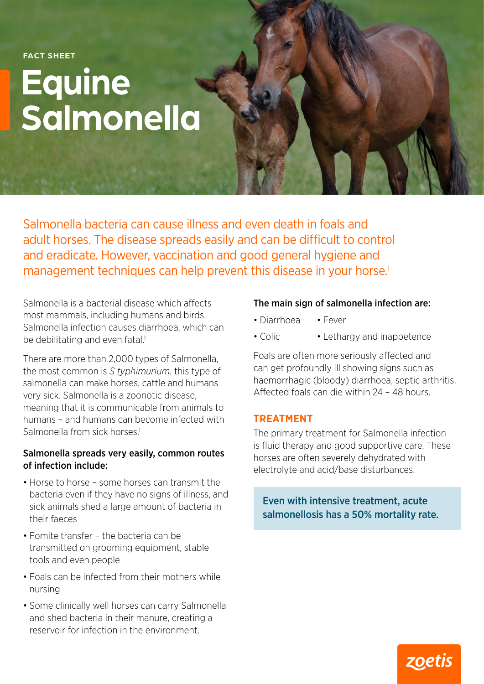**FACT SHEET**

# **Equine Salmonella**

Salmonella bacteria can cause illness and even death in foals and adult horses. The disease spreads easily and can be difficult to control and eradicate. However, vaccination and good general hygiene and management techniques can help prevent this disease in your horse.<sup>1</sup>

Salmonella is a bacterial disease which affects most mammals, including humans and birds. Salmonella infection causes diarrhoea, which can be debilitating and even fatal.<sup>1</sup>

There are more than 2,000 types of Salmonella, the most common is *S typhimurium*, this type of salmonella can make horses, cattle and humans very sick. Salmonella is a zoonotic disease, meaning that it is communicable from animals to humans – and humans can become infected with Salmonella from sick horses.<sup>1</sup>

### Salmonella spreads very easily, common routes of infection include:

- Horse to horse some horses can transmit the bacteria even if they have no signs of illness, and sick animals shed a large amount of bacteria in their faeces
- Fomite transfer the bacteria can be transmitted on grooming equipment, stable tools and even people
- Foals can be infected from their mothers while nursing
- Some clinically well horses can carry Salmonella and shed bacteria in their manure, creating a reservoir for infection in the environment.

## The main sign of salmonella infection are:

- Diarrhoea Fever
- Colic Lethargy and inappetence

Foals are often more seriously affected and can get profoundly ill showing signs such as haemorrhagic (bloody) diarrhoea, septic arthritis. Affected foals can die within 24 – 48 hours.

## **TREATMENT**

The primary treatment for Salmonella infection is fluid therapy and good supportive care. These horses are often severely dehydrated with electrolyte and acid/base disturbances.

Even with intensive treatment, acute salmonellosis has a 50% mortality rate.